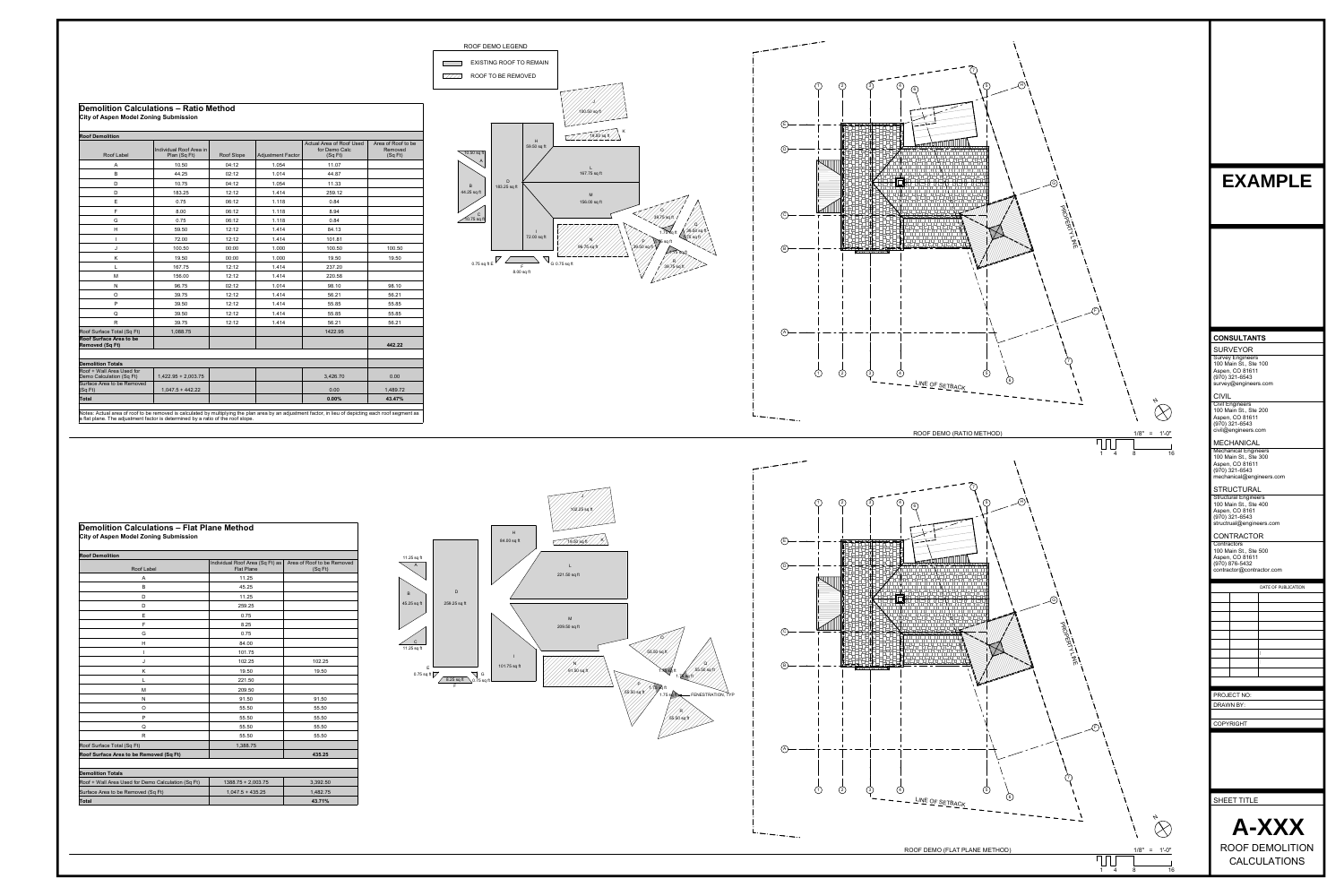## **Demolition Calculations – Flat Plane Method City of Aspen Model Zoning Submission**

| <b>Roof Demolition</b>                             | Individual Roof Area (Sq Ft) as | Area of Roof to be Removed |
|----------------------------------------------------|---------------------------------|----------------------------|
| Roof Label                                         | <b>Flat Plane</b>               | (SqFt)                     |
| A                                                  | 11.25                           |                            |
| $\sf B$                                            | 45.25                           |                            |
| D                                                  | 11.25                           |                            |
| D                                                  | 259.25                          |                            |
| $\mathsf E$                                        | 0.75                            |                            |
| F                                                  | 8.25                            |                            |
| G                                                  | 0.75                            |                            |
| H                                                  | 84.00                           |                            |
| $\mathsf{I}$                                       | 101.75                          |                            |
| J                                                  | 102.25                          | 102.25                     |
| K                                                  | 19.50                           | 19.50                      |
| L                                                  | 221.50                          |                            |
| M                                                  | 209.50                          |                            |
| N                                                  | 91.50                           | 91.50                      |
| O                                                  | 55.50                           | 55.50                      |
| ${\sf P}$                                          | 55.50                           | 55.50                      |
| Q                                                  | 55.50                           | 55.50                      |
| $\mathsf{R}$                                       | 55.50                           | 55.50                      |
| Roof Surface Total (Sq Ft)                         | 1,388.75                        |                            |
| Roof Surface Area to be Removed (Sq Ft)            |                                 | 435.25                     |
| <b>Demolition Totals</b>                           |                                 |                            |
| Roof + Wall Area Used for Demo Calculation (Sq Ft) | $1388.75 + 2,003.75$            | 3,392.50                   |
| Surface Area to be Removed (Sq Ft)                 | $1,047.5 + 435.25$              | 1,482.75                   |
| <b>Total</b>                                       |                                 | 43.71%                     |

## **Demolition Calculations – Ratio Method City of Aspen Model Zoning Submission**

## **Roof Demolition**

| Roof Label                                               | Individual Roof Area in<br>Plan (Sq Ft) | Roof Slope | <b>Adjustment Factor</b> | Actual Area of Roof Used<br>for Demo Calc<br>(SqFt) | Area of Roof to be<br>Removed<br>(SqFt) |
|----------------------------------------------------------|-----------------------------------------|------------|--------------------------|-----------------------------------------------------|-----------------------------------------|
| $\boldsymbol{\mathsf{A}}$                                | 10.50                                   | 04:12      | 1.054                    | 11.07                                               |                                         |
| $\sf B$                                                  | 44.25                                   | 02:12      | 1.014                    | 44.87                                               |                                         |
| D                                                        | 10.75                                   | 04:12      | 1.054                    | 11.33                                               |                                         |
| $\mathsf D$                                              | 183.25                                  | 12:12      | 1.414                    | 259.12                                              |                                         |
| $\mathsf E$                                              | 0.75                                    | 06:12      | 1.118                    | 0.84                                                |                                         |
| F                                                        | 8.00                                    | 06:12      | 1.118                    | 8.94                                                |                                         |
| G                                                        | 0.75                                    | 06:12      | 1.118                    | 0.84                                                |                                         |
| $\boldsymbol{\mathsf{H}}$                                | 59.50                                   | 12:12      | 1.414                    | 84.13                                               |                                         |
| $\mathbf{I}$                                             | 72.00                                   | 12:12      | 1.414                    | 101.81                                              |                                         |
| J                                                        | 100.50                                  | 00:00      | 1.000                    | 100.50                                              | 100.50                                  |
| Κ                                                        | 19.50                                   | 00:00      | 1.000                    | 19.50                                               | 19.50                                   |
| L                                                        | 167.75                                  | 12:12      | 1.414                    | 237.20                                              |                                         |
| M                                                        | 156.00                                  | 12:12      | 1.414                    | 220.58                                              |                                         |
| ${\sf N}$                                                | 96.75                                   | 02:12      | 1.014                    | 98.10                                               | 98.10                                   |
| $\circ$                                                  | 39.75                                   | 12:12      | 1.414                    | 56.21                                               | 56.21                                   |
| ${\sf P}$                                                | 39.50                                   | 12:12      | 1.414                    | 55.85                                               | 55.85                                   |
| Q                                                        | 39.50                                   | 12:12      | 1.414                    | 55.85                                               | 55.85                                   |
| ${\sf R}$                                                | 39.75                                   | 12:12      | 1.414                    | 56.21                                               | 56.21                                   |
| Roof Surface Total (Sq Ft)                               | 1,088.75                                |            |                          | 1422.95                                             |                                         |
| <b>Roof Surface Area to be</b><br><b>Removed (Sq Ft)</b> |                                         |            |                          |                                                     | 442.22                                  |
|                                                          |                                         |            |                          |                                                     |                                         |
| <b>Demolition Totals</b>                                 |                                         |            |                          |                                                     |                                         |
| Roof + Wall Area Used for<br>Demo Calculation (Sq Ft)    | $1,422.95 + 2,003.75$                   |            |                          | 3,426.70                                            | 0.00                                    |
| Surface Area to be Removed<br>(SqFt)                     | $1,047.5 + 442.22$                      |            |                          | 0.00                                                | 1,489.72                                |
| <b>Total</b>                                             |                                         |            |                          | 0.00%                                               | 43.47%                                  |

Notes: Actual area of roof to be removed is calculated by multiplying the plan area by an adjustment factor, in lieu of depicting each roof segment as a flat plane. The adjustment factor is determined by a ratio of the roof slope.